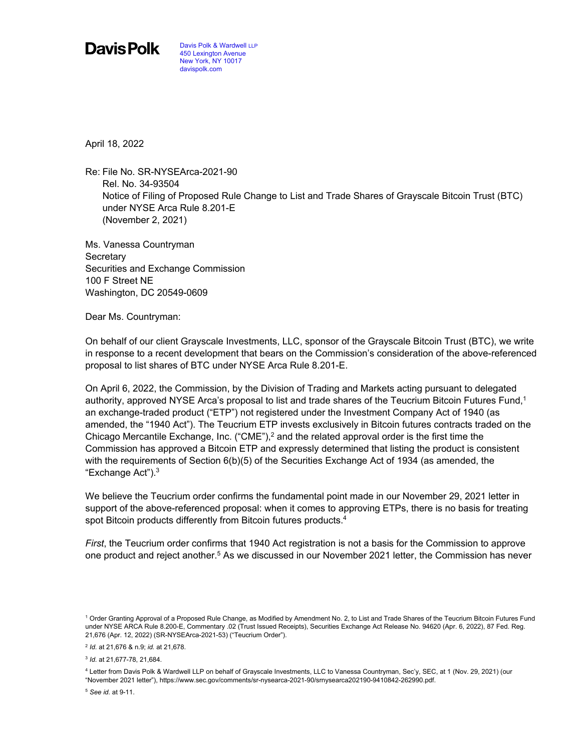Davis Polk

April 18, 2022

Re: File No. SR-NYSEArca-2021-90 Rel. No. 34-93504 Notice of Filing of Proposed Rule Change to List and Trade Shares of Grayscale Bitcoin Trust (BTC) under NYSE Arca Rule 8.201-E (November 2, 2021)

Ms. Vanessa Countryman **Secretary** Securities and Exchange Commission 100 F Street NE Washington, DC 20549-0609

Dear Ms. Countryman:

On behalf of our client Grayscale Investments, LLC, sponsor of the Grayscale Bitcoin Trust (BTC), we write in response to a recent development that bears on the Commission's consideration of the above-referenced proposal to list shares of BTC under NYSE Arca Rule 8.201-E.

On April 6, 2022, the Commission, by the Division of Trading and Markets acting pursuant to delegated authority, approved NYSE Arca's proposal to list and trade shares of the Teucrium Bitcoin Futures Fund,<sup>1</sup> an exchange-traded product ("ETP") not registered under the Investment Company Act of 1940 (as amended, the "1940 Act"). The Teucrium ETP invests exclusively in Bitcoin futures contracts traded on the Chicago Mercantile Exchange, Inc.  $("CME")$ , and the related approval order is the first time the Commission has approved a Bitcoin ETP and expressly determined that listing the product is consistent with the requirements of Section 6(b)(5) of the Securities Exchange Act of 1934 (as amended, the "Exchange Act").3

We believe the Teucrium order confirms the fundamental point made in our November 29, 2021 letter in support of the above-referenced proposal: when it comes to approving ETPs, there is no basis for treating spot Bitcoin products differently from Bitcoin futures products.<sup>4</sup>

*First*, the Teucrium order confirms that 1940 Act registration is not a basis for the Commission to approve one product and reject another.<sup>5</sup> As we discussed in our November 2021 letter, the Commission has never

<sup>5</sup> *See id.* at 9-11.

<sup>1</sup> Order Granting Approval of a Proposed Rule Change, as Modified by Amendment No. 2, to List and Trade Shares of the Teucrium Bitcoin Futures Fund under NYSE ARCA Rule 8.200-E, Commentary .02 (Trust Issued Receipts), Securities Exchange Act Release No. 94620 (Apr. 6, 2022), 87 Fed. Reg. 21,676 (Apr. 12, 2022) (SR-NYSEArca-2021-53) ("Teucrium Order").

<sup>2</sup> *Id.* at 21,676 & n.9; *id.* at 21,678.

<sup>3</sup> *Id.* at 21,677-78, 21,684.

<sup>4</sup> Letter from Davis Polk & Wardwell LLP on behalf of Grayscale Investments, LLC to Vanessa Countryman, Sec'y, SEC, at 1 (Nov. 29, 2021) (our "November 2021 letter"), https://www.sec.gov/comments/sr-nysearca-2021-90/srnysearca202190-9410842-262990.pdf.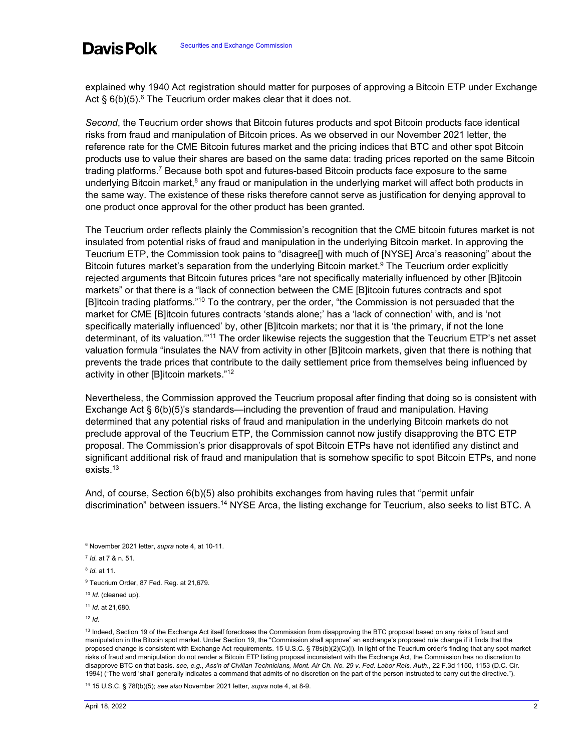explained why 1940 Act registration should matter for purposes of approving a Bitcoin ETP under Exchange Act  $\S 6(b)(5)$ .<sup>6</sup> The Teucrium order makes clear that it does not.

*Second*, the Teucrium order shows that Bitcoin futures products and spot Bitcoin products face identical risks from fraud and manipulation of Bitcoin prices. As we observed in our November 2021 letter, the reference rate for the CME Bitcoin futures market and the pricing indices that BTC and other spot Bitcoin products use to value their shares are based on the same data: trading prices reported on the same Bitcoin trading platforms.7 Because both spot and futures-based Bitcoin products face exposure to the same underlying Bitcoin market,<sup>8</sup> any fraud or manipulation in the underlying market will affect both products in the same way. The existence of these risks therefore cannot serve as justification for denying approval to one product once approval for the other product has been granted.

The Teucrium order reflects plainly the Commission's recognition that the CME bitcoin futures market is not insulated from potential risks of fraud and manipulation in the underlying Bitcoin market. In approving the Teucrium ETP, the Commission took pains to "disagree[] with much of [NYSE] Arca's reasoning" about the Bitcoin futures market's separation from the underlying Bitcoin market.<sup>9</sup> The Teucrium order explicitly rejected arguments that Bitcoin futures prices "are not specifically materially influenced by other [B]itcoin markets" or that there is a "lack of connection between the CME [B]itcoin futures contracts and spot [B]itcoin trading platforms."10 To the contrary, per the order, "the Commission is not persuaded that the market for CME [B]itcoin futures contracts 'stands alone;' has a 'lack of connection' with, and is 'not specifically materially influenced' by, other [B]itcoin markets; nor that it is 'the primary, if not the lone determinant, of its valuation."<sup>11</sup> The order likewise rejects the suggestion that the Teucrium ETP's net asset valuation formula "insulates the NAV from activity in other [B]itcoin markets, given that there is nothing that prevents the trade prices that contribute to the daily settlement price from themselves being influenced by activity in other [B]itcoin markets."<sup>12</sup>

Nevertheless, the Commission approved the Teucrium proposal after finding that doing so is consistent with Exchange Act § 6(b)(5)'s standards—including the prevention of fraud and manipulation. Having determined that any potential risks of fraud and manipulation in the underlying Bitcoin markets do not preclude approval of the Teucrium ETP, the Commission cannot now justify disapproving the BTC ETP proposal. The Commission's prior disapprovals of spot Bitcoin ETPs have not identified any distinct and significant additional risk of fraud and manipulation that is somehow specific to spot Bitcoin ETPs, and none exists.13

And, of course, Section 6(b)(5) also prohibits exchanges from having rules that "permit unfair discrimination" between issuers.<sup>14</sup> NYSE Arca, the listing exchange for Teucrium, also seeks to list BTC. A

Davis Polk

<sup>12</sup> *Id.*

13 Indeed, Section 19 of the Exchange Act itself forecloses the Commission from disapproving the BTC proposal based on any risks of fraud and manipulation in the Bitcoin spot market. Under Section 19, the "Commission shall approve" an exchange's proposed rule change if it finds that the proposed change is consistent with Exchange Act requirements. 15 U.S.C. § 78s(b)(2)(C)(i). In light of the Teucrium order's finding that any spot market risks of fraud and manipulation do not render a Bitcoin ETP listing proposal inconsistent with the Exchange Act, the Commission has no discretion to disapprove BTC on that basis. *see, e.g.*, *Ass'n of Civilian Technicians, Mont. Air Ch. No. 29 v. Fed. Labor Rels. Auth.*, 22 F.3d 1150, 1153 (D.C. Cir. 1994) ("The word 'shall' generally indicates a command that admits of no discretion on the part of the person instructed to carry out the directive.").

14 15 U.S.C. § 78f(b)(5); *see also* November 2021 letter, *supra* note 4, at 8-9.

<sup>6</sup> November 2021 letter, *supra* note 4, at 10-11.

<sup>7</sup> *Id.* at 7 & n. 51.

<sup>8</sup> *Id.* at 11.

<sup>&</sup>lt;sup>9</sup> Teucrium Order, 87 Fed. Reg. at 21,679.

<sup>10</sup> *Id.* (cleaned up).

<sup>11</sup> *Id.* at 21,680.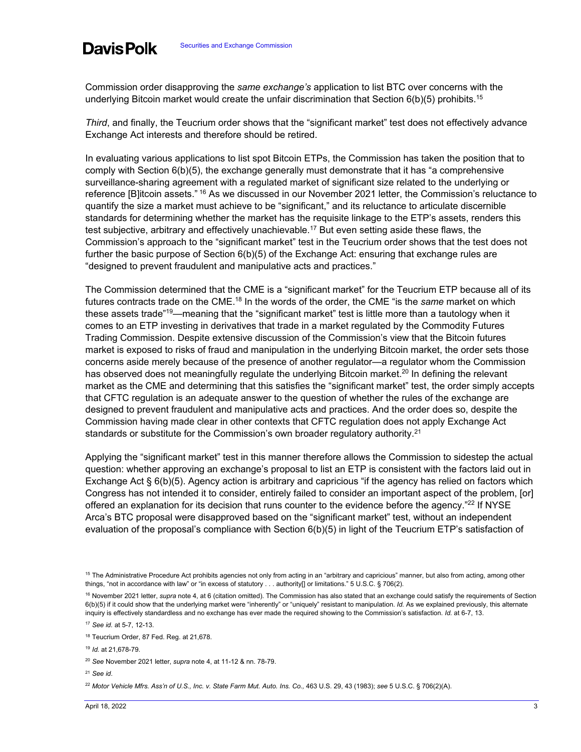Commission order disapproving the *same exchange's* application to list BTC over concerns with the underlying Bitcoin market would create the unfair discrimination that Section  $6(b)(5)$  prohibits.<sup>15</sup>

*Third*, and finally, the Teucrium order shows that the "significant market" test does not effectively advance Exchange Act interests and therefore should be retired.

In evaluating various applications to list spot Bitcoin ETPs, the Commission has taken the position that to comply with Section 6(b)(5), the exchange generally must demonstrate that it has "a comprehensive surveillance-sharing agreement with a regulated market of significant size related to the underlying or reference [B]itcoin assets." <sup>16</sup> As we discussed in our November 2021 letter, the Commission's reluctance to quantify the size a market must achieve to be "significant," and its reluctance to articulate discernible standards for determining whether the market has the requisite linkage to the ETP's assets, renders this test subjective, arbitrary and effectively unachievable.<sup>17</sup> But even setting aside these flaws, the Commission's approach to the "significant market" test in the Teucrium order shows that the test does not further the basic purpose of Section 6(b)(5) of the Exchange Act: ensuring that exchange rules are "designed to prevent fraudulent and manipulative acts and practices."

The Commission determined that the CME is a "significant market" for the Teucrium ETP because all of its futures contracts trade on the CME.<sup>18</sup> In the words of the order, the CME "is the *same* market on which these assets trade"<sup>19</sup>—meaning that the "significant market" test is little more than a tautology when it comes to an ETP investing in derivatives that trade in a market regulated by the Commodity Futures Trading Commission. Despite extensive discussion of the Commission's view that the Bitcoin futures market is exposed to risks of fraud and manipulation in the underlying Bitcoin market, the order sets those concerns aside merely because of the presence of another regulator—a regulator whom the Commission has observed does not meaningfully regulate the underlying Bitcoin market.<sup>20</sup> In defining the relevant market as the CME and determining that this satisfies the "significant market" test, the order simply accepts that CFTC regulation is an adequate answer to the question of whether the rules of the exchange are designed to prevent fraudulent and manipulative acts and practices. And the order does so, despite the Commission having made clear in other contexts that CFTC regulation does not apply Exchange Act standards or substitute for the Commission's own broader regulatory authority.<sup>21</sup>

Applying the "significant market" test in this manner therefore allows the Commission to sidestep the actual question: whether approving an exchange's proposal to list an ETP is consistent with the factors laid out in Exchange Act § 6(b)(5). Agency action is arbitrary and capricious "if the agency has relied on factors which Congress has not intended it to consider, entirely failed to consider an important aspect of the problem, [or] offered an explanation for its decision that runs counter to the evidence before the agency."<sup>22</sup> If NYSE Arca's BTC proposal were disapproved based on the "significant market" test, without an independent evaluation of the proposal's compliance with Section 6(b)(5) in light of the Teucrium ETP's satisfaction of

<sup>21</sup> *See id*.

<sup>22</sup> Motor Vehicle Mfrs. Ass'n of U.S., Inc. v. State Farm Mut. Auto. Ins. Co., 463 U.S. 29, 43 (1983); see 5 U.S.C. § 706(2)(A).

<sup>&</sup>lt;sup>15</sup> The Administrative Procedure Act prohibits agencies not only from acting in an "arbitrary and capricious" manner, but also from acting, among other things, "not in accordance with law" or "in excess of statutory . . . authority[] or limitations." 5 U.S.C. § 706(2).

<sup>&</sup>lt;sup>16</sup> November 2021 letter, *supra* note 4, at 6 (citation omitted). The Commission has also stated that an exchange could satisfy the requirements of Section 6(b)(5) if it could show that the underlying market were "inherently" or "uniquely" resistant to manipulation. *Id.* As we explained previously, this alternate inquiry is effectively standardless and no exchange has ever made the required showing to the Commission's satisfaction. *Id.* at 6-7, 13.

<sup>17</sup> *See id.* at 5-7, 12-13.

<sup>18</sup> Teucrium Order, 87 Fed. Reg. at 21,678.

<sup>19</sup> *Id.* at 21,678-79.

<sup>20</sup> *See* November 2021 letter, *supra* note 4, at 11-12 & nn. 78-79.